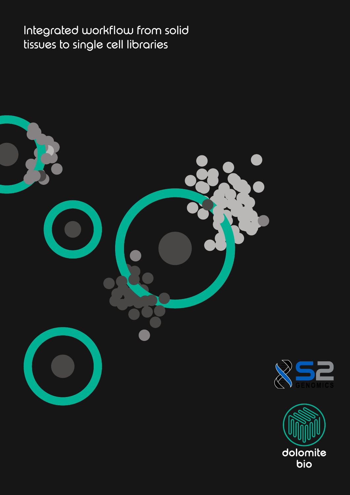Integrated workflow from solid tissues to single cell libraries



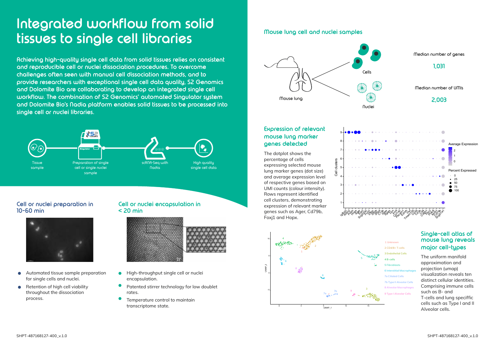#### **Expression of relevant mouse lung marker genes detected**

The dotplot shows the percentage of cells expressing selected mouse lung marker genes (dot size) and average expression level of respective genes based on UMI counts (colour intensity). Rows represent identified cell clusters, demonstrating expression of relevant marker genes such as Ager, Cd79b, Foxj1 and Hopx.

#### **Single-cell atlas of mouse lung reveals major cell-types**

The uniform manifold approximation and projection (umap) visualization reveals ten distinct cellular identities. Comprising immune cells such as B- and T-cells and lung speciffic cells such as Type I and II Alveolar cells.

# **Integrated workflow from solid tissues to single cell libraries**

**Achieving high-quality single cell data from solid tissues relies on consistent and reproducible cell or nuclei dissociation procedures. To overcome challenges often seen with manual cell dissociation methods, and to provide researchers with exceptional single cell data quality, S2 Genomics and Dolomite Bio are collaborating to develop an integrated single cell workflow. The combination of S2 Genomics' automated Singulator system and Dolomite Bio's Nadia platform enables solid tissues to be processed into single cell or nuclei libraries.**

#### **Cell or nuclei preparation in 10-60 min**



#### **Cell or nuclei encapsulation in < 20 min**



- Automated tissue sample preparation  $\bullet$ for single cells and nuclei.
- Retention of high cell viability throughout the dissociation process.
- High-throughput single cell or nuclei  $\bullet$ encapsulation.
- Patented stirrer technology for low doublet rates.
- Temperature control to maintain transcriptome state.





### **Mouse lung cell and nuclei samples**

Median number of genes

Median number of UMIs

## **1,031**

# **2,003**



- 2 CD4/8+ T-cells
- 3 Endothelial Cells
- 1 4 B-cells
- 3 5 Fibroblasts
- 6 6 Interstitial Macrophages
- 7a Ciliated Cells 8 Alveolar Macrophages 7b Type II Alveolar Cells

9 Type I Alveolar Cells